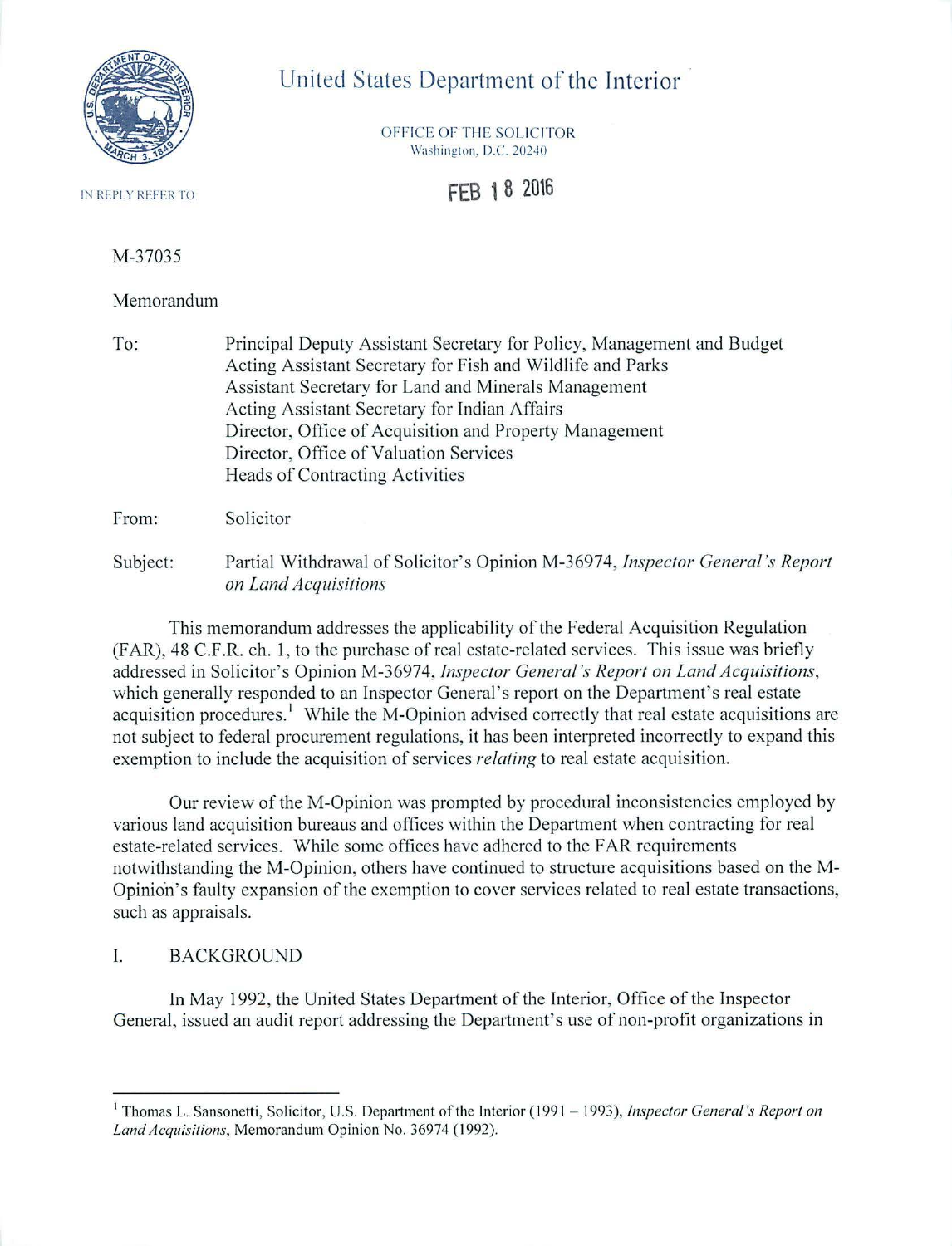

# United States Department of the Interior

OFFICE OF THE SOLICITOR Washington, D.C. 20240

**FEB 18 20\6** 

IN REPLY REFER TO

## M-37035

#### Memorandum

To: Principal Deputy Assistant Secretary for Policy, Management and Budget Acting Assistant Secretary for Fish and Wildlife and Parks Assistant Secretary for Land and Minerals Management Acting Assistant Secretary for Indian Affairs Director, Office of Acquisition and Property Management Director, Office of Valuation Services Heads of Contracting Activities

From: Solicitor

Subject: Partial Withdrawal of Solicitor's Opinion M-36974, *Inspector General 's Report on Land Acquisitions* 

This memorandum addresses the applicability of the Federal Acquisition Regulation (FAR), 48 C.F .R. ch. 1, to the purchase of real estate-related services. This issue was briefly addressed in Solicitor's Opinion M-36974, *Inspector General's Report on Land Acquisitions,*  which generally responded to an Inspector General's report on the Department's real estate acquisition procedures.' While the M-Opinion advised correctly that real estate acquisitions are not subject to federal procurement regulations, it has been interpreted incorrectly to expand this exemption to include the acquisition of services *relating* to real estate acquisition.

Our review of theM-Opinion was prompted by procedural inconsistencies employed by various land acquisition bureaus and offices within the Department when contracting for real estate-related services. While some offices have adhered to the FAR requirements notwithstanding the M-Opinion, others have continued to structure acquisitions based on the M-Opinion's faulty expansion of the exemption to cover services related to real estate transactions, such as appraisals.

## I. BACKGROUND

In May 1992, the United States Department of the Interior, Office of the Inspector General, issued an audit report addressing the Department's use of non-profit organizations in

<sup>&</sup>lt;sup>1</sup> Thomas L. Sansonetti, Solicitor, U.S. Department of the Interior (1991 – 1993), *Inspector General's Report on* Land Acquisitions, Memorandum Opinion No. 36974 (1992).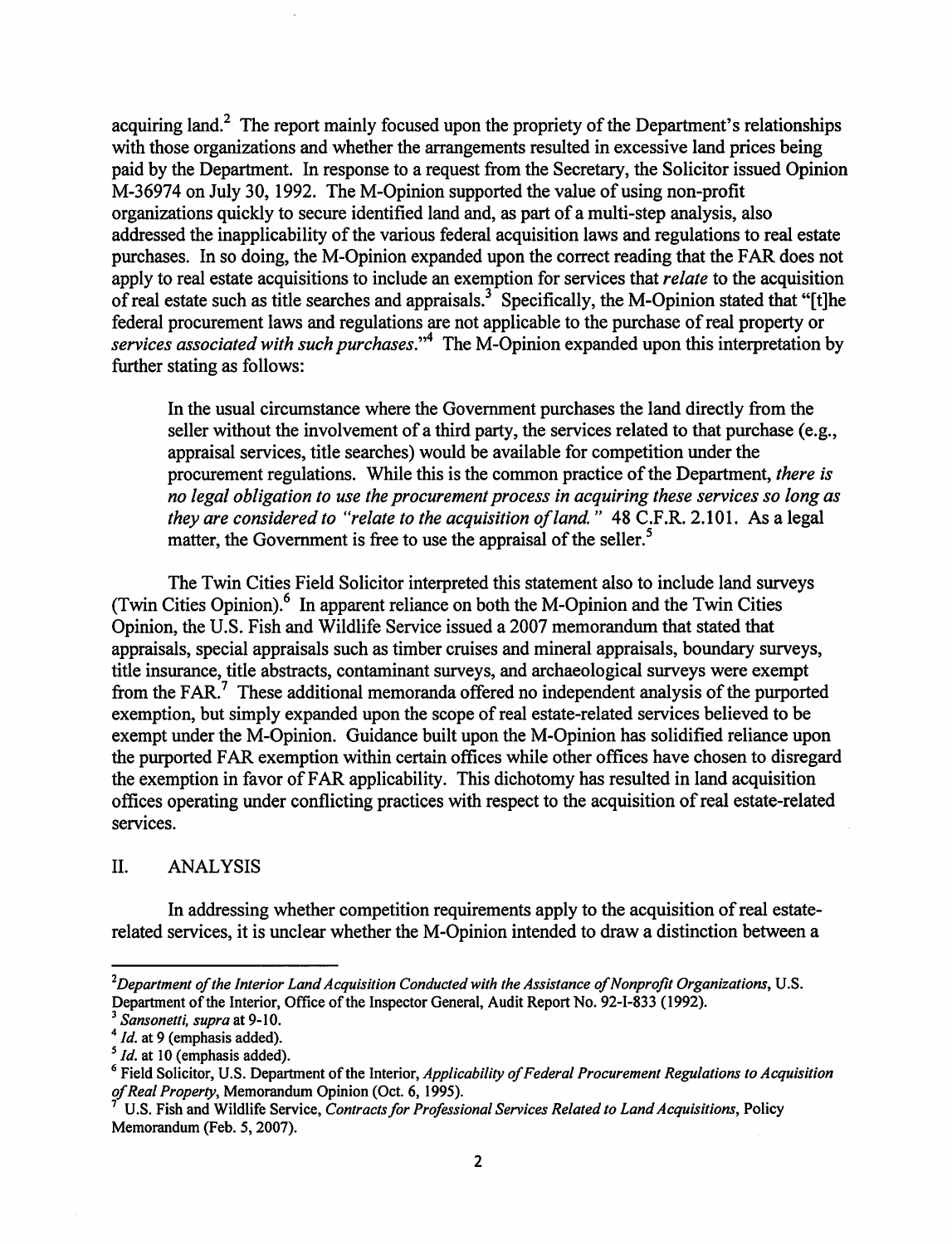acquiring land.<sup>2</sup> The report mainly focused upon the propriety of the Department's relationships with those organizations and whether the arrangements resulted in excessive land prices being paid by the Department. In response to a request from the Secretary, the Solicitor issued Opinion M-36974 on July 30, 1992. The M-Opinion supported the value of using non-profit organizations quickly to secure identified land and, as part of a multi-step analysis, also addressed the inapplicability of the various federal acquisition laws and regulations to real estate purchases. In so doing, the M-Opinion expanded upon the correct reading that the FAR does not apply to real estate acquisitions to include an exemption for services that *relate* to the acquisition of real estate such as title searches and appraisals.<sup>3</sup> Specifically, the M-Opinion stated that "[t]he federal procurement laws and regulations are not applicable to the purchase of real property or *services associated with such purchases.* " 4 The M -Opinion expanded upon this interpretation by further stating as follows:

In the usual circumstance where the Government purchases the land directly from the seller without the involvement of a third party, the services related to that purchase (e.g., appraisal services, title searches) would be available for competition under the procurement regulations. While this is the common practice of the Department, *there is no legal obligation to use the procurement process in acquiring these services so long as they are considered to "relate to the acquisition of land"* 48 C.F.R. 2.101. As a legal matter, the Government is free to use the appraisal of the seller. *<sup>5</sup>*

The Twin Cities Field Solicitor interpreted this statement also to include land surveys (Twin Cities Opinion). $<sup>6</sup>$  In apparent reliance on both the M-Opinion and the Twin Cities</sup> Opinion, the U.S. Fish and Wildlife Service issued a 2007 memorandum that stated that appraisals, special appraisals such as timber cruises and mineral appraisals, boundary surveys, title insurance, title abstracts, contaminant surveys, and archaeological surveys were exempt from the FAR.<sup>7</sup> These additional memoranda offered no independent analysis of the purported exemption, but simply expanded upon the scope of real estate-related services believed to be exempt under the M-Opinion. Guidance built upon the M-Opinion has solidified reliance upon the purported FAR exemption within certain offices while other offices have chosen to disregard the exemption in favor of FAR applicability. This dichotomy has resulted in land acquisition offices operating under conflicting practices with respect to the acquisition of real estate-related services.

#### II. ANALYSIS

In addressing whether competition requirements apply to the acquisition of real estaterelated services, it is unclear whether the M-Opinion intended to draw a distinction between a

<sup>&</sup>lt;sup>2</sup>Department of the Interior Land Acquisition Conducted with the Assistance of Nonprofit Organizations, U.S. Department of the Interior, Office of the Inspector General, Audit Report No. 92-I-833 (1992).<br><sup>3</sup> Sansonetti, supra at 9-10.

<sup>&</sup>lt;sup>4</sup> *Id.* at 9 (emphasis added).<br><sup>5</sup> *Id.* at 10 (emphasis added).

<sup>&</sup>lt;sup>6</sup> Field Solicitor, U.S. Department of the Interior, *Applicability of Federal Procurement Regulations to Acquisition of Real Property*, Memorandum Opinion (Oct. 6, 1995).

U.S. Fish and Wildlife Service, *Contracts for Professional Services Related to Land Acquisitions*, Policy Memorandum (Feb. 5, 2007).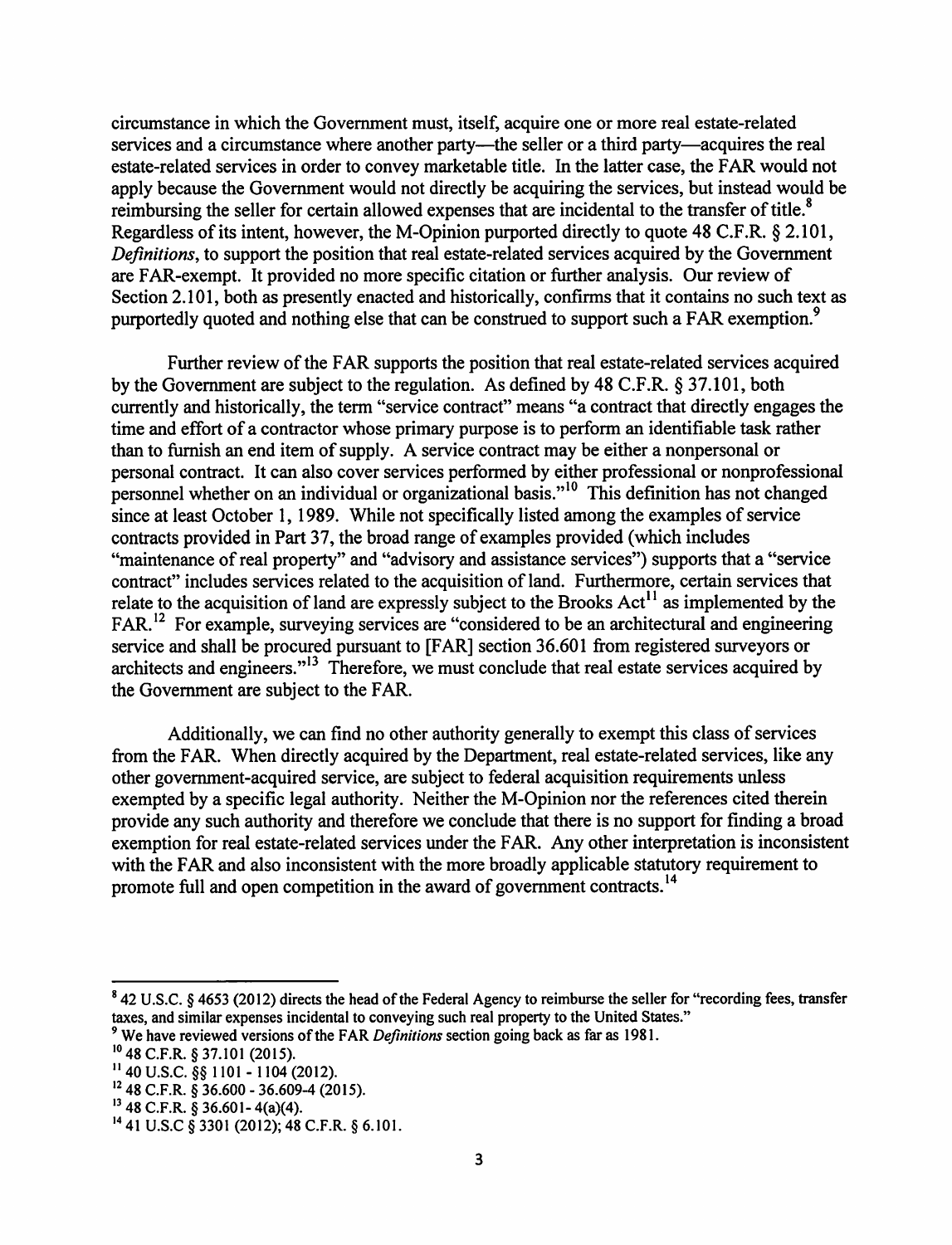circumstance in which the Government must, itself, acquire one or more real estate-related services and a circumstance where another party—the seller or a third party—acquires the real estate-related services in order to convey marketable title. In the latter case, the FAR would not apply because the Government would not directly be acquiring the services, but instead would be reimbursing the seller for certain allowed expenses that are incidental to the transfer of title.<sup>8</sup> Regardless of its intent, however, the M-Opinion purported directly to quote 48 C.F.R. § 2.101, *Definitions*, to support the position that real estate-related services acquired by the Government are FAR-exempt. It provided no more specific citation or further analysis. Our review of Section 2.101, both as presently enacted and historically, confirms that it contains no such text as purportedly quoted and nothing else that can be construed to support such a FAR exemption.<sup>9</sup>

Further review of the FAR supports the position that real estate-related services acquired by the Government are subject to the regulation. As defined by 48 C.F.R. § 37.101, both currently and historically, the term "service contract" means "a contract that directly engages the time and effort of a contractor whose primary purpose is to perform an identifiable task rather than to furnish an end item of supply. A service contract may be either a nonpersonal or personal contract. It can also cover services performed by either professional or nonprofessional personnel whether on an individual or organizational basis."<sup>10</sup> This definition has not changed since at least October I, I989. While not specifically listed among the examples of service contracts provided in Part 37, the broad range of examples provided (which includes "maintenance of real property" and "advisory and assistance services") supports that a "service contract" includes services related to the acquisition of land. Furthermore, certain services that relate to the acquisition of land are expressly subject to the Brooks Act<sup>11</sup> as implemented by the  $FAR$ <sup>12</sup> For example, surveying services are "considered to be an architectural and engineering service and shall be procured pursuant to [FAR] section 36.601 from registered surveyors or architects and engineers."<sup>13</sup> Therefore, we must conclude that real estate services acquired by the Government are subject to the FAR.

Additionally, we can find no other authority generally to exempt this class of services from the FAR. When directly acquired by the Department, real estate-related services, like any other government-acquired service, are subject to federal acquisition requirements unless exempted by a specific legal authority. Neither the M-Opinion nor the references cited therein provide any such authority and therefore we conclude that there is no support for finding a broad exemption for real estate-related services under the FAR. Any other interpretation is inconsistent with the FAR and also inconsistent with the more broadly applicable statutory requirement to promote full and open competition in the award of government contracts.<sup>14</sup>

<sup>&</sup>lt;sup>8</sup> 42 U.S.C. § 4653 (2012) directs the head of the Federal Agency to reimburse the seller for "recording fees, transfer taxes, and similar expenses incidental to conveying such real property to the United States."

<sup>&</sup>lt;sup>9</sup> We have reviewed versions of the FAR *Definitions* section going back as far as 1981.

<sup>10 48</sup> C.F.R. § 37.101 (2015).

 $11$  40 U.S.C. §§ 1101 - 1104 (2012).

 $12$  48 C.F.R. § 36.600 - 36.609-4 (2015).

 $13$  48 C.F.R. § 36.601-4(a)(4).

<sup>14</sup>41 U.S.C § 3301 (2012); 48 C.F.R. § 6.101.